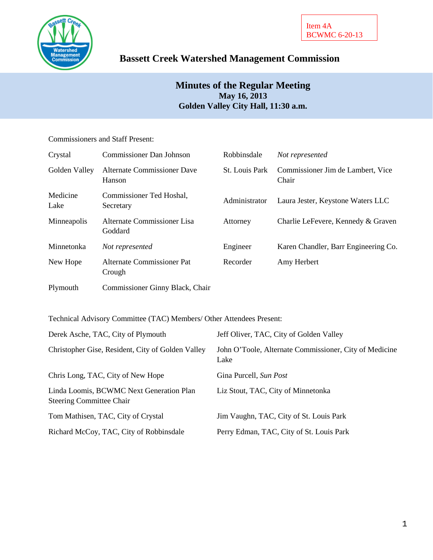

# **Bassett Creek Watershed Management Commission**

## **Minutes of the Regular Meeting May 16, 2013 Golden Valley City Hall, 11:30 a.m.**

## Commissioners and Staff Present:

| Crystal          | <b>Commissioner Dan Johnson</b>              | Robbinsdale    | Not represented                            |
|------------------|----------------------------------------------|----------------|--------------------------------------------|
| Golden Valley    | <b>Alternate Commissioner Dave</b><br>Hanson | St. Louis Park | Commissioner Jim de Lambert, Vice<br>Chair |
| Medicine<br>Lake | Commissioner Ted Hoshal,<br>Secretary        | Administrator  | Laura Jester, Keystone Waters LLC          |
| Minneapolis      | Alternate Commissioner Lisa<br>Goddard       | Attorney       | Charlie LeFevere, Kennedy & Graven         |
| Minnetonka       | Not represented                              | Engineer       | Karen Chandler, Barr Engineering Co.       |
| New Hope         | Alternate Commissioner Pat<br>Crough         | Recorder       | Amy Herbert                                |
| Plymouth         | Commissioner Ginny Black, Chair              |                |                                            |

Technical Advisory Committee (TAC) Members/ Other Attendees Present:

| Derek Asche, TAC, City of Plymouth                                          | Jeff Oliver, TAC, City of Golden Valley                        |
|-----------------------------------------------------------------------------|----------------------------------------------------------------|
| Christopher Gise, Resident, City of Golden Valley                           | John O'Toole, Alternate Commissioner, City of Medicine<br>Lake |
| Chris Long, TAC, City of New Hope                                           | Gina Purcell, Sun Post                                         |
| Linda Loomis, BCWMC Next Generation Plan<br><b>Steering Committee Chair</b> | Liz Stout, TAC, City of Minnetonka                             |
| Tom Mathisen, TAC, City of Crystal                                          | Jim Vaughn, TAC, City of St. Louis Park                        |
| Richard McCoy, TAC, City of Robbinsdale                                     | Perry Edman, TAC, City of St. Louis Park                       |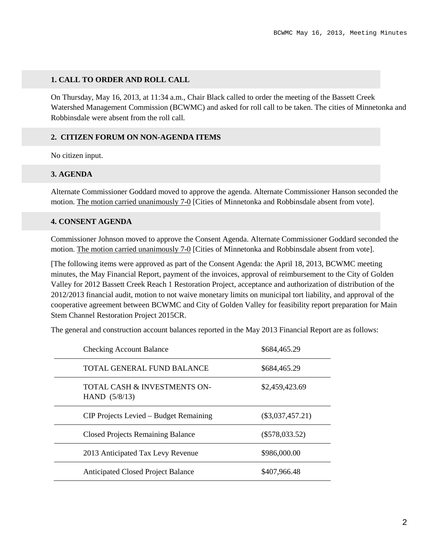## **1. CALL TO ORDER AND ROLL CALL**

On Thursday, May 16, 2013, at 11:34 a.m., Chair Black called to order the meeting of the Bassett Creek Watershed Management Commission (BCWMC) and asked for roll call to be taken. The cities of Minnetonka and Robbinsdale were absent from the roll call.

## **2. CITIZEN FORUM ON NON-AGENDA ITEMS**

No citizen input.

## **3. AGENDA**

Alternate Commissioner Goddard moved to approve the agenda. Alternate Commissioner Hanson seconded the motion. The motion carried unanimously 7-0 [Cities of Minnetonka and Robbinsdale absent from vote].

## **4. CONSENT AGENDA**

Commissioner Johnson moved to approve the Consent Agenda. Alternate Commissioner Goddard seconded the motion. The motion carried unanimously 7-0 [Cities of Minnetonka and Robbinsdale absent from vote].

[The following items were approved as part of the Consent Agenda: the April 18, 2013, BCWMC meeting minutes, the May Financial Report, payment of the invoices, approval of reimbursement to the City of Golden Valley for 2012 Bassett Creek Reach 1 Restoration Project, acceptance and authorization of distribution of the 2012/2013 financial audit, motion to not waive monetary limits on municipal tort liability, and approval of the cooperative agreement between BCWMC and City of Golden Valley for feasibility report preparation for Main Stem Channel Restoration Project 2015CR.

The general and construction account balances reported in the May 2013 Financial Report are as follows:

| <b>Checking Account Balance</b>                            | \$684,465.29       |
|------------------------------------------------------------|--------------------|
| TOTAL GENERAL FUND BALANCE                                 | \$684,465.29       |
| <b>TOTAL CASH &amp; INVESTMENTS ON-</b><br>HAND $(5/8/13)$ | \$2,459,423.69     |
| CIP Projects Levied – Budget Remaining                     | $(\$3,037,457.21)$ |
| <b>Closed Projects Remaining Balance</b>                   | $(\$578,033.52)$   |
| 2013 Anticipated Tax Levy Revenue                          | \$986,000.00       |
| <b>Anticipated Closed Project Balance</b>                  | \$407,966.48       |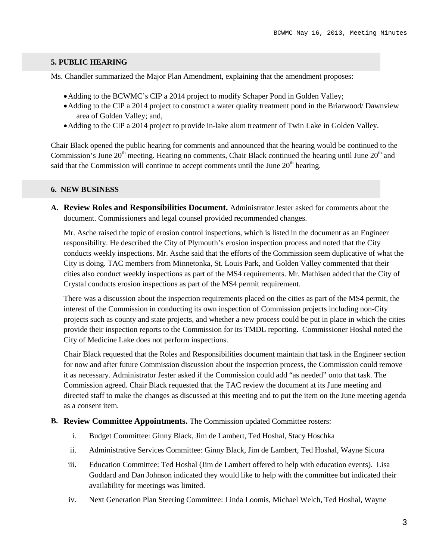## **5. PUBLIC HEARING**

Ms. Chandler summarized the Major Plan Amendment, explaining that the amendment proposes:

- •Adding to the BCWMC's CIP a 2014 project to modify Schaper Pond in Golden Valley;
- •Adding to the CIP a 2014 project to construct a water quality treatment pond in the Briarwood/ Dawnview area of Golden Valley; and,
- Adding to the CIP a 2014 project to provide in-lake alum treatment of Twin Lake in Golden Valley.

Chair Black opened the public hearing for comments and announced that the hearing would be continued to the Commission's June  $20<sup>th</sup>$  meeting. Hearing no comments, Chair Black continued the hearing until June  $20<sup>th</sup>$  and said that the Commission will continue to accept comments until the June  $20<sup>th</sup>$  hearing.

#### **6. NEW BUSINESS**

**A. Review Roles and Responsibilities Document.** Administrator Jester asked for comments about the document. Commissioners and legal counsel provided recommended changes.

Mr. Asche raised the topic of erosion control inspections, which is listed in the document as an Engineer responsibility. He described the City of Plymouth's erosion inspection process and noted that the City conducts weekly inspections. Mr. Asche said that the efforts of the Commission seem duplicative of what the City is doing. TAC members from Minnetonka, St. Louis Park, and Golden Valley commented that their cities also conduct weekly inspections as part of the MS4 requirements. Mr. Mathisen added that the City of Crystal conducts erosion inspections as part of the MS4 permit requirement.

There was a discussion about the inspection requirements placed on the cities as part of the MS4 permit, the interest of the Commission in conducting its own inspection of Commission projects including non-City projects such as county and state projects, and whether a new process could be put in place in which the cities provide their inspection reports to the Commission for its TMDL reporting. Commissioner Hoshal noted the City of Medicine Lake does not perform inspections.

Chair Black requested that the Roles and Responsibilities document maintain that task in the Engineer section for now and after future Commission discussion about the inspection process, the Commission could remove it as necessary. Administrator Jester asked if the Commission could add "as needed" onto that task. The Commission agreed. Chair Black requested that the TAC review the document at its June meeting and directed staff to make the changes as discussed at this meeting and to put the item on the June meeting agenda as a consent item.

#### **B. Review Committee Appointments.** The Commission updated Committee rosters:

- i. Budget Committee: Ginny Black, Jim de Lambert, Ted Hoshal, Stacy Hoschka
- ii. Administrative Services Committee: Ginny Black, Jim de Lambert, Ted Hoshal, Wayne Sicora
- iii. Education Committee: Ted Hoshal (Jim de Lambert offered to help with education events). Lisa Goddard and Dan Johnson indicated they would like to help with the committee but indicated their availability for meetings was limited.
- iv. Next Generation Plan Steering Committee: Linda Loomis, Michael Welch, Ted Hoshal, Wayne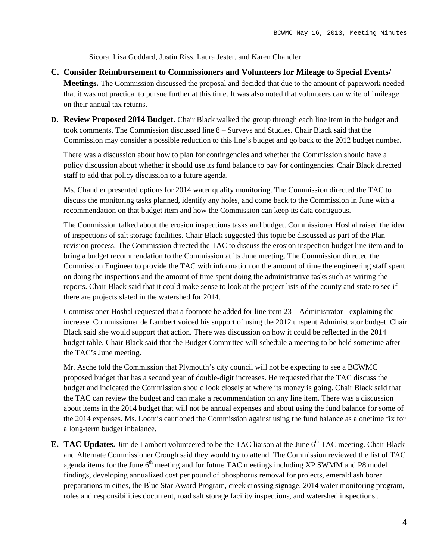Sicora, Lisa Goddard, Justin Riss, Laura Jester, and Karen Chandler.

- **C. Consider Reimbursement to Commissioners and Volunteers for Mileage to Special Events/ Meetings.** The Commission discussed the proposal and decided that due to the amount of paperwork needed that it was not practical to pursue further at this time. It was also noted that volunteers can write off mileage on their annual tax returns.
- **D. Review Proposed 2014 Budget.** Chair Black walked the group through each line item in the budget and took comments. The Commission discussed line 8 – Surveys and Studies. Chair Black said that the Commission may consider a possible reduction to this line's budget and go back to the 2012 budget number.

There was a discussion about how to plan for contingencies and whether the Commission should have a policy discussion about whether it should use its fund balance to pay for contingencies. Chair Black directed staff to add that policy discussion to a future agenda.

Ms. Chandler presented options for 2014 water quality monitoring. The Commission directed the TAC to discuss the monitoring tasks planned, identify any holes, and come back to the Commission in June with a recommendation on that budget item and how the Commission can keep its data contiguous.

The Commission talked about the erosion inspections tasks and budget. Commissioner Hoshal raised the idea of inspections of salt storage facilities. Chair Black suggested this topic be discussed as part of the Plan revision process. The Commission directed the TAC to discuss the erosion inspection budget line item and to bring a budget recommendation to the Commission at its June meeting. The Commission directed the Commission Engineer to provide the TAC with information on the amount of time the engineering staff spent on doing the inspections and the amount of time spent doing the administrative tasks such as writing the reports. Chair Black said that it could make sense to look at the project lists of the county and state to see if there are projects slated in the watershed for 2014.

Commissioner Hoshal requested that a footnote be added for line item 23 – Administrator - explaining the increase. Commissioner de Lambert voiced his support of using the 2012 unspent Administrator budget. Chair Black said she would support that action. There was discussion on how it could be reflected in the 2014 budget table. Chair Black said that the Budget Committee will schedule a meeting to be held sometime after the TAC's June meeting.

Mr. Asche told the Commission that Plymouth's city council will not be expecting to see a BCWMC proposed budget that has a second year of double-digit increases. He requested that the TAC discuss the budget and indicated the Commission should look closely at where its money is going. Chair Black said that the TAC can review the budget and can make a recommendation on any line item. There was a discussion about items in the 2014 budget that will not be annual expenses and about using the fund balance for some of the 2014 expenses. Ms. Loomis cautioned the Commission against using the fund balance as a onetime fix for a long-term budget inbalance.

**E.** TAC Updates. Jim de Lambert volunteered to be the TAC liaison at the June 6<sup>th</sup> TAC meeting. Chair Black and Alternate Commissioner Crough said they would try to attend. The Commission reviewed the list of TAC agenda items for the June  $6<sup>th</sup>$  meeting and for future TAC meetings including XP SWMM and P8 model findings, developing annualized cost per pound of phosphorus removal for projects, emerald ash borer preparations in cities, the Blue Star Award Program, creek crossing signage, 2014 water monitoring program, roles and responsibilities document, road salt storage facility inspections, and watershed inspections .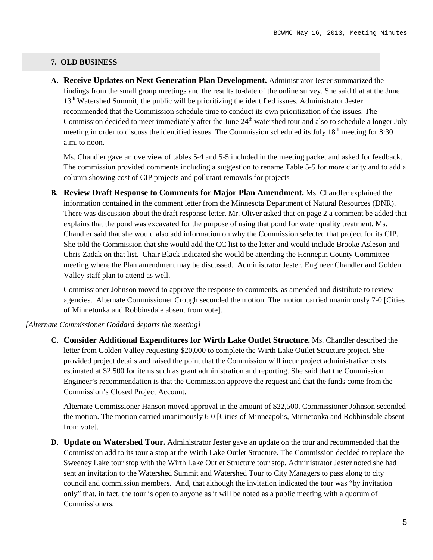## **7. OLD BUSINESS**

**A. Receive Updates on Next Generation Plan Development.** Administrator Jester summarized the findings from the small group meetings and the results to-date of the online survey. She said that at the June 13<sup>th</sup> Watershed Summit, the public will be prioritizing the identified issues. Administrator Jester recommended that the Commission schedule time to conduct its own prioritization of the issues. The Commission decided to meet immediately after the June  $24<sup>th</sup>$  watershed tour and also to schedule a longer July meeting in order to discuss the identified issues. The Commission scheduled its July  $18<sup>th</sup>$  meeting for 8:30 a.m. to noon.

Ms. Chandler gave an overview of tables 5-4 and 5-5 included in the meeting packet and asked for feedback. The commission provided comments including a suggestion to rename Table 5-5 for more clarity and to add a column showing cost of CIP projects and pollutant removals for projects

**B. Review Draft Response to Comments for Major Plan Amendment.** Ms. Chandler explained the information contained in the comment letter from the Minnesota Department of Natural Resources (DNR). There was discussion about the draft response letter. Mr. Oliver asked that on page 2 a comment be added that explains that the pond was excavated for the purpose of using that pond for water quality treatment. Ms. Chandler said that she would also add information on why the Commission selected that project for its CIP. She told the Commission that she would add the CC list to the letter and would include Brooke Asleson and Chris Zadak on that list. Chair Black indicated she would be attending the Hennepin County Committee meeting where the Plan amendment may be discussed. Administrator Jester, Engineer Chandler and Golden Valley staff plan to attend as well.

Commissioner Johnson moved to approve the response to comments, as amended and distribute to review agencies. Alternate Commissioner Crough seconded the motion. The motion carried unanimously 7-0 [Cities of Minnetonka and Robbinsdale absent from vote].

#### *[Alternate Commissioner Goddard departs the meeting]*

**C. Consider Additional Expenditures for Wirth Lake Outlet Structure.** Ms. Chandler described the letter from Golden Valley requesting \$20,000 to complete the Wirth Lake Outlet Structure project. She provided project details and raised the point that the Commission will incur project administrative costs estimated at \$2,500 for items such as grant administration and reporting. She said that the Commission Engineer's recommendation is that the Commission approve the request and that the funds come from the Commission's Closed Project Account.

Alternate Commissioner Hanson moved approval in the amount of \$22,500. Commissioner Johnson seconded the motion. The motion carried unanimously 6-0 [Cities of Minneapolis, Minnetonka and Robbinsdale absent from vote].

**D. Update on Watershed Tour.** Administrator Jester gave an update on the tour and recommended that the Commission add to its tour a stop at the Wirth Lake Outlet Structure. The Commission decided to replace the Sweeney Lake tour stop with the Wirth Lake Outlet Structure tour stop. Administrator Jester noted she had sent an invitation to the Watershed Summit and Watershed Tour to City Managers to pass along to city council and commission members. And, that although the invitation indicated the tour was "by invitation only" that, in fact, the tour is open to anyone as it will be noted as a public meeting with a quorum of Commissioners.